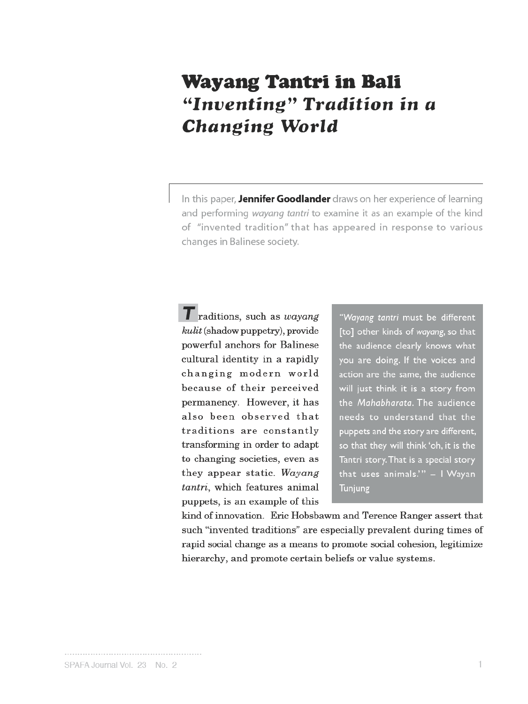# **Wayang Tantri in Bali** "Inventing" Tradition in a **Changing World**

In this paper, Jennifer Goodlander draws on her experience of learning and performing wayang tantri to examine it as an example of the kind of "invented tradition" that has appeared in response to various changes in Balinese society.

T raditions, such as wayang kulit (shadow puppetry), provide powerful anchors for Balinese cultural identity in a rapidly changing modern world because of their perceived permanency. However, it has also been observed that traditions are constantly transforming in order to adapt to changing societies, even as they appear static. Wayang tantri, which features animal puppets, is an example of this

"Wayang tantri must be different [to] other kinds of wayang, so that the audience clearly knows what you are doing. If the voices and action are the same, the audience will just think it is a story from the Mahabharata. The audience needs to understand that the puppets and the story are different, so that they will think 'oh, it is the Tantri story. That is a special story that uses animals."" - I Wayan Tunjung

kind of innovation. Eric Hobsbawm and Terence Ranger assert that such "invented traditions" are especially prevalent during times of rapid social change as a means to promote social cohesion, legitimize hierarchy, and promote certain beliefs or value systems.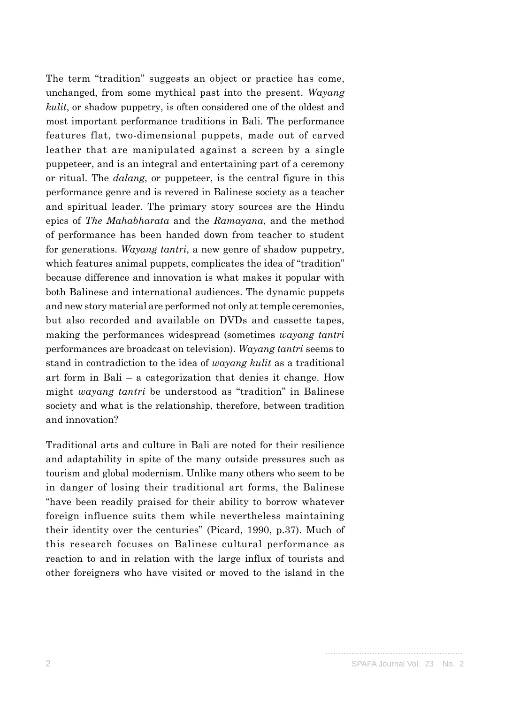The term "tradition" suggests an object or practice has come, unchanged, from some mythical past into the present. *Wayang kulit*, or shadow puppetry, is often considered one of the oldest and most important performance traditions in Bali. The performance features flat, two-dimensional puppets, made out of carved leather that are manipulated against a screen by a single puppeteer, and is an integral and entertaining part of a ceremony or ritual. The *dalang*, or puppeteer, is the central figure in this performance genre and is revered in Balinese society as a teacher and spiritual leader. The primary story sources are the Hindu epics of *The Mahabharata* and the *Ramayana*, and the method of performance has been handed down from teacher to student for generations. *Wayang tantri*, a new genre of shadow puppetry, which features animal puppets, complicates the idea of "tradition" because difference and innovation is what makes it popular with both Balinese and international audiences. The dynamic puppets and new story material are performed not only at temple ceremonies, but also recorded and available on DVDs and cassette tapes, making the performances widespread (sometimes *wayang tantri* performances are broadcast on television). *Wayang tantri* seems to stand in contradiction to the idea of *wayang kulit* as a traditional art form in Bali – a categorization that denies it change. How might *wayang tantri* be understood as "tradition" in Balinese society and what is the relationship, therefore, between tradition and innovation?

Traditional arts and culture in Bali are noted for their resilience and adaptability in spite of the many outside pressures such as tourism and global modernism. Unlike many others who seem to be in danger of losing their traditional art forms, the Balinese "have been readily praised for their ability to borrow whatever foreign influence suits them while nevertheless maintaining their identity over the centuries" (Picard, 1990, p.37). Much of this research focuses on Balinese cultural performance as reaction to and in relation with the large influx of tourists and other foreigners who have visited or moved to the island in the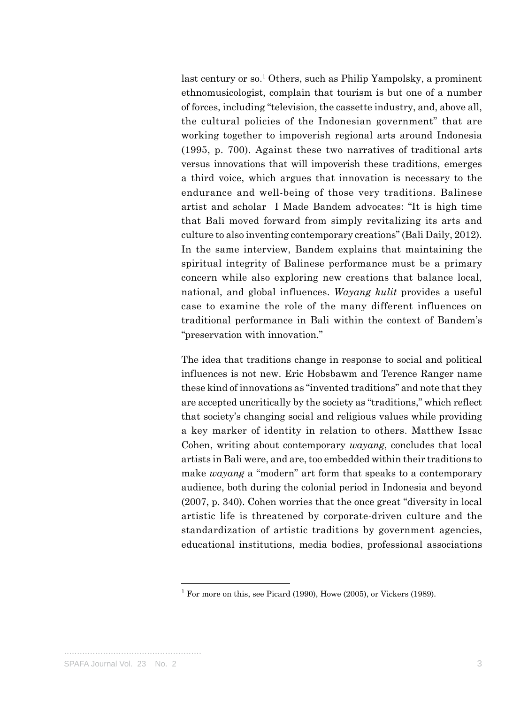last century or so.<sup>1</sup> Others, such as Philip Yampolsky, a prominent ethnomusicologist, complain that tourism is but one of a number of forces, including "television, the cassette industry, and, above all, the cultural policies of the Indonesian government" that are working together to impoverish regional arts around Indonesia (1995, p. 700). Against these two narratives of traditional arts versus innovations that will impoverish these traditions, emerges a third voice, which argues that innovation is necessary to the endurance and well-being of those very traditions. Balinese artist and scholar I Made Bandem advocates: "It is high time that Bali moved forward from simply revitalizing its arts and culture to also inventing contemporary creations" (Bali Daily, 2012). In the same interview, Bandem explains that maintaining the spiritual integrity of Balinese performance must be a primary concern while also exploring new creations that balance local, national, and global influences. *Wayang kulit* provides a useful case to examine the role of the many different influences on traditional performance in Bali within the context of Bandem's "preservation with innovation."

The idea that traditions change in response to social and political influences is not new. Eric Hobsbawm and Terence Ranger name these kind of innovations as "invented traditions" and note that they are accepted uncritically by the society as "traditions," which reflect that society's changing social and religious values while providing a key marker of identity in relation to others. Matthew Issac Cohen, writing about contemporary *wayang*, concludes that local artists in Bali were, and are, too embedded within their traditions to make *wayang* a "modern" art form that speaks to a contemporary audience, both during the colonial period in Indonesia and beyond (2007, p. 340). Cohen worries that the once great "diversity in local artistic life is threatened by corporate-driven culture and the standardization of artistic traditions by government agencies, educational institutions, media bodies, professional associations

<sup>&</sup>lt;sup>1</sup> For more on this, see Picard (1990), Howe (2005), or Vickers (1989).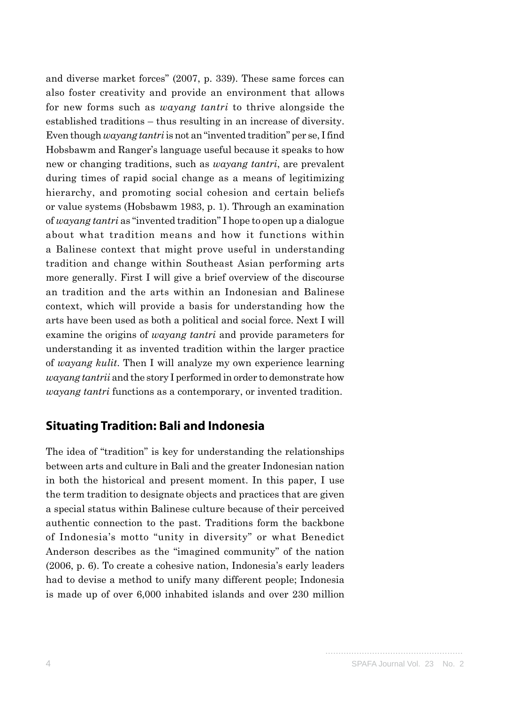and diverse market forces" (2007, p. 339). These same forces can also foster creativity and provide an environment that allows for new forms such as *wayang tantri* to thrive alongside the established traditions – thus resulting in an increase of diversity. Even though *wayang tantri* is not an "invented tradition" per se, I find Hobsbawm and Ranger's language useful because it speaks to how new or changing traditions, such as *wayang tantri*, are prevalent during times of rapid social change as a means of legitimizing hierarchy, and promoting social cohesion and certain beliefs or value systems (Hobsbawm 1983, p. 1). Through an examination of *wayang tantri* as "invented tradition" I hope to open up a dialogue about what tradition means and how it functions within a Balinese context that might prove useful in understanding tradition and change within Southeast Asian performing arts more generally. First I will give a brief overview of the discourse an tradition and the arts within an Indonesian and Balinese context, which will provide a basis for understanding how the arts have been used as both a political and social force. Next I will examine the origins of *wayang tantri* and provide parameters for understanding it as invented tradition within the larger practice of *wayang kulit*. Then I will analyze my own experience learning *wayang tantrii* and the story I performed in order to demonstrate how *wayang tantri* functions as a contemporary, or invented tradition.

#### **Situating Tradition: Bali and Indonesia**

The idea of "tradition" is key for understanding the relationships between arts and culture in Bali and the greater Indonesian nation in both the historical and present moment. In this paper, I use the term tradition to designate objects and practices that are given a special status within Balinese culture because of their perceived authentic connection to the past. Traditions form the backbone of Indonesia's motto "unity in diversity" or what Benedict Anderson describes as the "imagined community" of the nation (2006, p. 6). To create a cohesive nation, Indonesia's early leaders had to devise a method to unify many different people; Indonesia is made up of over 6,000 inhabited islands and over 230 million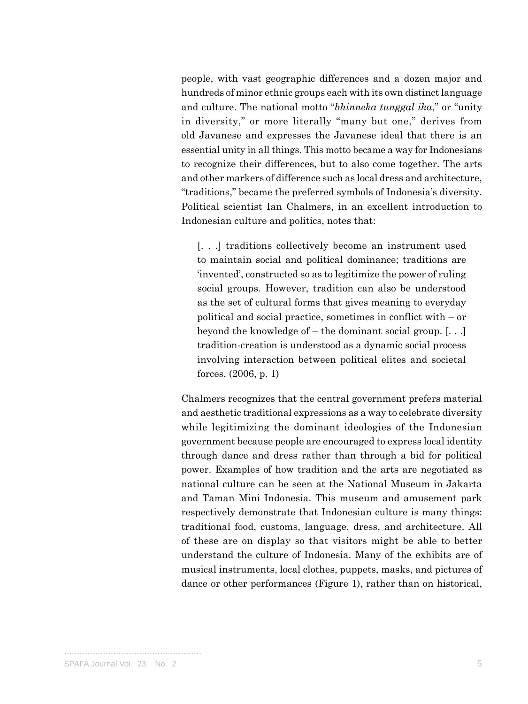people, with vast geographic differences and a dozen major and hundreds of minor ethnic groups each with its own distinct language and culture. The national motto "*bhinneka tunggal ika*," or "unity in diversity," or more literally "many but one," derives from old Javanese and expresses the Javanese ideal that there is an essential unity in all things. This motto became a way for Indonesians to recognize their differences, but to also come together. The arts and other markers of difference such as local dress and architecture, "traditions," became the preferred symbols of Indonesia's diversity. Political scientist Ian Chalmers, in an excellent introduction to Indonesian culture and politics, notes that:

[. . .] traditions collectively become an instrument used to maintain social and political dominance; traditions are 'invented', constructed so as to legitimize the power of ruling social groups. However, tradition can also be understood as the set of cultural forms that gives meaning to everyday political and social practice, sometimes in conflict with – or beyond the knowledge of – the dominant social group. [. . .] tradition-creation is understood as a dynamic social process involving interaction between political elites and societal forces. (2006, p. 1)

Chalmers recognizes that the central government prefers material and aesthetic traditional expressions as a way to celebrate diversity while legitimizing the dominant ideologies of the Indonesian government because people are encouraged to express local identity through dance and dress rather than through a bid for political power. Examples of how tradition and the arts are negotiated as national culture can be seen at the National Museum in Jakarta and Taman Mini Indonesia. This museum and amusement park respectively demonstrate that Indonesian culture is many things: traditional food, customs, language, dress, and architecture. All of these are on display so that visitors might be able to better understand the culture of Indonesia. Many of the exhibits are of musical instruments, local clothes, puppets, masks, and pictures of dance or other performances (Figure 1), rather than on historical,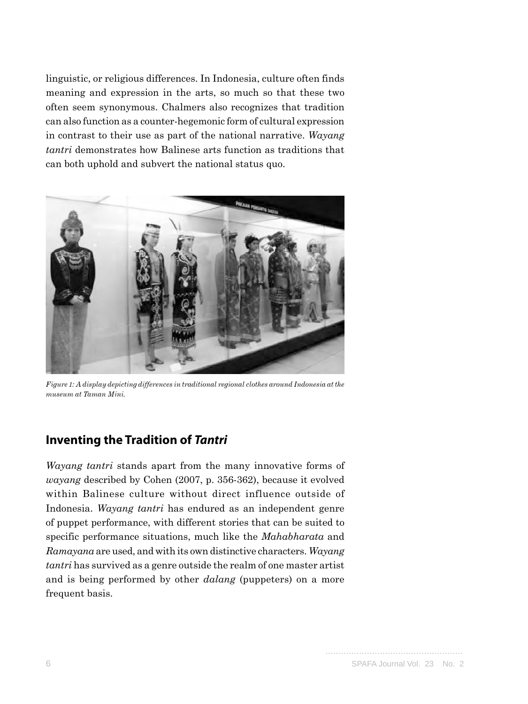linguistic, or religious differences. In Indonesia, culture often finds meaning and expression in the arts, so much so that these two often seem synonymous. Chalmers also recognizes that tradition can also function as a counter-hegemonic form of cultural expression in contrast to their use as part of the national narrative. *Wayang tantri* demonstrates how Balinese arts function as traditions that can both uphold and subvert the national status quo.



*Figure 1: A display depicting differences in traditional regional clothes around Indonesia at the museum at Taman Mini.*

## **Inventing the Tradition of** *Tantri*

*Wayang tantri* stands apart from the many innovative forms of *wayang* described by Cohen (2007, p. 356-362), because it evolved within Balinese culture without direct influence outside of Indonesia. *Wayang tantri* has endured as an independent genre of puppet performance, with different stories that can be suited to specific performance situations, much like the *Mahabharata* and *Ramayana* are used, and with its own distinctive characters. *Wayang tantri* has survived as a genre outside the realm of one master artist and is being performed by other *dalang* (puppeters) on a more frequent basis.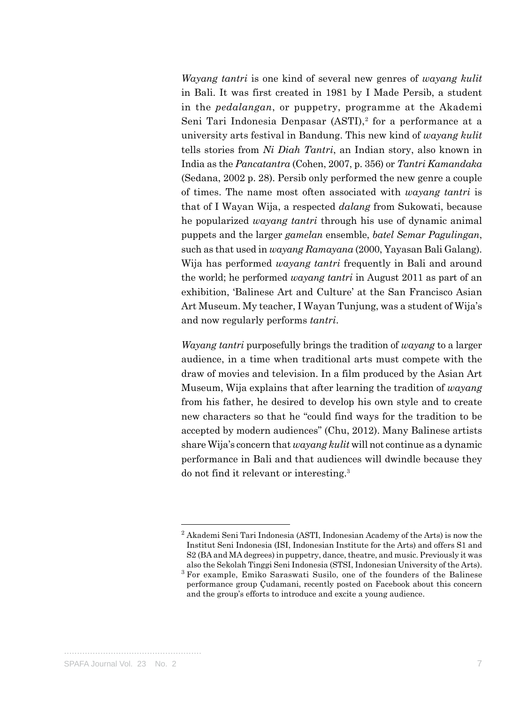*Wayang tantri* is one kind of several new genres of *wayang kulit* in Bali. It was first created in 1981 by I Made Persib, a student in the *pedalangan*, or puppetry, programme at the Akademi Seni Tari Indonesia Denpasar  $(ASTI),$ <sup>2</sup> for a performance at a university arts festival in Bandung. This new kind of *wayang kulit* tells stories from *Ni Diah Tantri*, an Indian story, also known in India as the *Pancatantra* (Cohen, 2007, p. 356) or *Tantri Kamandaka* (Sedana, 2002 p. 28). Persib only performed the new genre a couple of times. The name most often associated with *wayang tantri* is that of I Wayan Wija, a respected *dalang* from Sukowati, because he popularized *wayang tantri* through his use of dynamic animal puppets and the larger *gamelan* ensemble, *batel Semar Pagulingan*, such as that used in *wayang Ramayana* (2000, Yayasan Bali Galang). Wija has performed *wayang tantri* frequently in Bali and around the world; he performed *wayang tantri* in August 2011 as part of an exhibition, 'Balinese Art and Culture' at the San Francisco Asian Art Museum. My teacher, I Wayan Tunjung, was a student of Wija's and now regularly performs *tantri*.

*Wayang tantri* purposefully brings the tradition of *wayang* to a larger audience, in a time when traditional arts must compete with the draw of movies and television. In a film produced by the Asian Art Museum, Wija explains that after learning the tradition of *wayang* from his father, he desired to develop his own style and to create new characters so that he "could find ways for the tradition to be accepted by modern audiences" (Chu, 2012). Many Balinese artists share Wija's concern that *wayang kulit* will not continue as a dynamic performance in Bali and that audiences will dwindle because they do not find it relevant or interesting.3

 $2$  Akademi Seni Tari Indonesia (ASTI, Indonesian Academy of the Arts) is now the Institut Seni Indonesia (ISI, Indonesian Institute for the Arts) and offers S1 and S2 (BA and MA degrees) in puppetry, dance, theatre, and music. Previously it was also the Sekolah Tinggi Seni Indonesia (STSI, Indonesian University of the Arts).

<sup>3</sup> For example, Emiko Saraswati Susilo, one of the founders of the Balinese performance group Çudamani, recently posted on Facebook about this concern and the group's efforts to introduce and excite a young audience.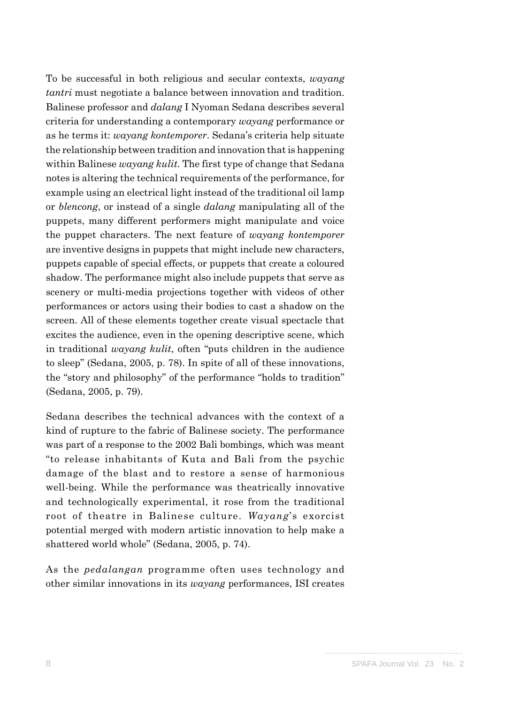To be successful in both religious and secular contexts, *wayang tantri* must negotiate a balance between innovation and tradition. Balinese professor and *dalang* I Nyoman Sedana describes several criteria for understanding a contemporary *wayang* performance or as he terms it: *wayang kontemporer*. Sedana's criteria help situate the relationship between tradition and innovation that is happening within Balinese *wayang kulit*. The first type of change that Sedana notes is altering the technical requirements of the performance, for example using an electrical light instead of the traditional oil lamp or *blencong*, or instead of a single *dalang* manipulating all of the puppets, many different performers might manipulate and voice the puppet characters. The next feature of *wayang kontemporer* are inventive designs in puppets that might include new characters, puppets capable of special effects, or puppets that create a coloured shadow. The performance might also include puppets that serve as scenery or multi-media projections together with videos of other performances or actors using their bodies to cast a shadow on the screen. All of these elements together create visual spectacle that excites the audience, even in the opening descriptive scene, which in traditional *wayang kulit*, often "puts children in the audience to sleep" (Sedana, 2005, p. 78). In spite of all of these innovations, the "story and philosophy" of the performance "holds to tradition" (Sedana, 2005, p. 79).

Sedana describes the technical advances with the context of a kind of rupture to the fabric of Balinese society. The performance was part of a response to the 2002 Bali bombings, which was meant "to release inhabitants of Kuta and Bali from the psychic damage of the blast and to restore a sense of harmonious well-being. While the performance was theatrically innovative and technologically experimental, it rose from the traditional root of theatre in Balinese culture. *Wayang*'s exorcist potential merged with modern artistic innovation to help make a shattered world whole" (Sedana, 2005, p. 74).

As the *pedalangan* programme often uses technology and other similar innovations in its *wayang* performances, ISI creates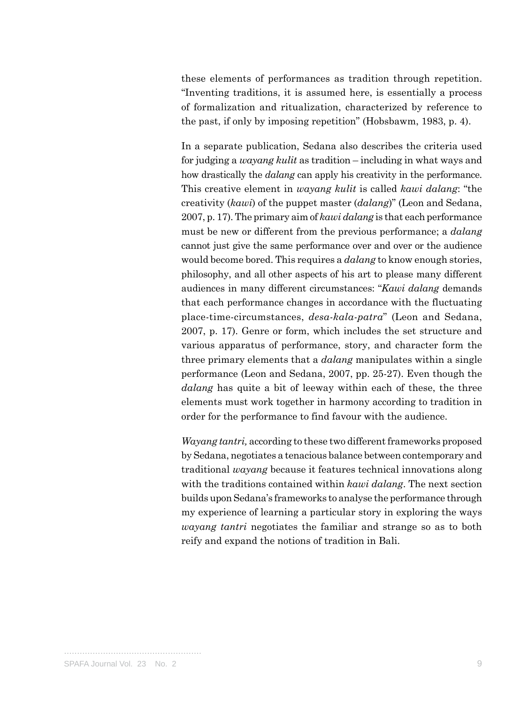these elements of performances as tradition through repetition. "Inventing traditions, it is assumed here, is essentially a process of formalization and ritualization, characterized by reference to the past, if only by imposing repetition" (Hobsbawm, 1983, p. 4).

In a separate publication, Sedana also describes the criteria used for judging a *wayang kulit* as tradition – including in what ways and how drastically the *dalang* can apply his creativity in the performance. This creative element in *wayang kulit* is called *kawi dalang*: "the creativity (*kawi*) of the puppet master (*dalang*)" (Leon and Sedana, 2007, p. 17). The primary aim of *kawi dalang* is that each performance must be new or different from the previous performance; a *dalang* cannot just give the same performance over and over or the audience would become bored. This requires a *dalang* to know enough stories, philosophy, and all other aspects of his art to please many different audiences in many different circumstances: "*Kawi dalang* demands that each performance changes in accordance with the fluctuating place-time-circumstances, *desa-kala-patra*" (Leon and Sedana, 2007, p. 17). Genre or form, which includes the set structure and various apparatus of performance, story, and character form the three primary elements that a *dalang* manipulates within a single performance (Leon and Sedana, 2007, pp. 25-27). Even though the *dalang* has quite a bit of leeway within each of these, the three elements must work together in harmony according to tradition in order for the performance to find favour with the audience.

*Wayang tantri,* according to these two different frameworks proposed by Sedana, negotiates a tenacious balance between contemporary and traditional *wayang* because it features technical innovations along with the traditions contained within *kawi dalang*. The next section builds upon Sedana's frameworks to analyse the performance through my experience of learning a particular story in exploring the ways *wayang tantri* negotiates the familiar and strange so as to both reify and expand the notions of tradition in Bali.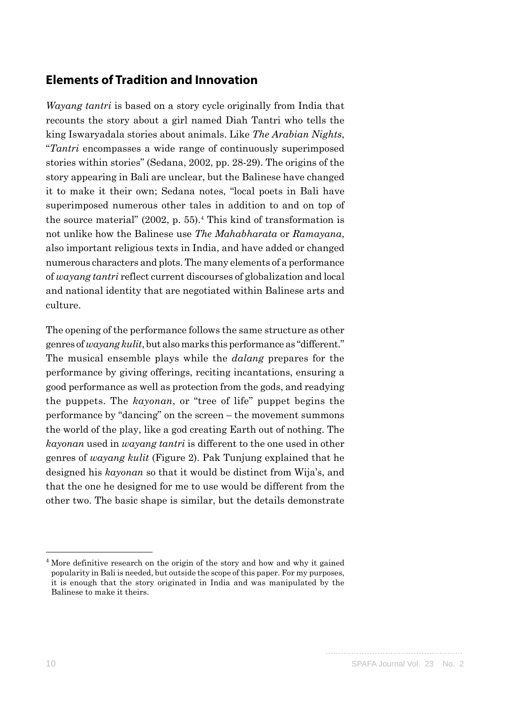### **Elements of Tradition and Innovation**

*Wayang tantri* is based on a story cycle originally from India that recounts the story about a girl named Diah Tantri who tells the king Iswaryadala stories about animals. Like *The Arabian Nights*, "*Tantri* encompasses a wide range of continuously superimposed stories within stories" (Sedana, 2002, pp. 28-29). The origins of the story appearing in Bali are unclear, but the Balinese have changed it to make it their own; Sedana notes, "local poets in Bali have superimposed numerous other tales in addition to and on top of the source material"  $(2002, p. 55)$ .<sup>4</sup> This kind of transformation is not unlike how the Balinese use *The Mahabharata* or *Ramayana*, also important religious texts in India, and have added or changed numerous characters and plots. The many elements of a performance of *wayang tantri* reflect current discourses of globalization and local and national identity that are negotiated within Balinese arts and culture.

The opening of the performance follows the same structure as other genres of *wayang kulit*, but also marks this performance as "different." The musical ensemble plays while the *dalang* prepares for the performance by giving offerings, reciting incantations, ensuring a good performance as well as protection from the gods, and readying the puppets. The *kayonan*, or "tree of life" puppet begins the performance by "dancing" on the screen – the movement summons the world of the play, like a god creating Earth out of nothing. The *kayonan* used in *wayang tantri* is different to the one used in other genres of *wayang kulit* (Figure 2). Pak Tunjung explained that he designed his *kayonan* so that it would be distinct from Wija's, and that the one he designed for me to use would be different from the other two. The basic shape is similar, but the details demonstrate

<sup>&</sup>lt;sup>4</sup> More definitive research on the origin of the story and how and why it gained popularity in Bali is needed, but outside the scope of this paper. For my purposes, it is enough that the story originated in India and was manipulated by the Balinese to make it theirs.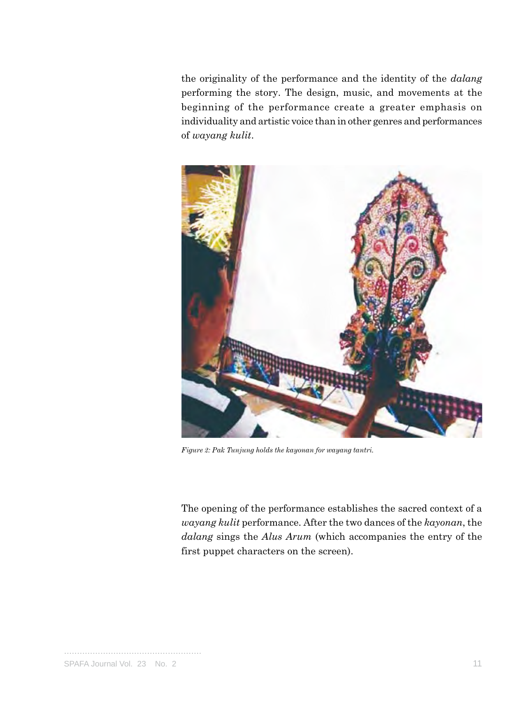the originality of the performance and the identity of the *dalang* performing the story. The design, music, and movements at the beginning of the performance create a greater emphasis on individuality and artistic voice than in other genres and performances of *wayang kulit*.



*Figure 2: Pak Tunjung holds the kayonan for wayang tantri.*

The opening of the performance establishes the sacred context of a *wayang kulit* performance. After the two dances of the *kayonan*, the *dalang* sings the *Alus Arum* (which accompanies the entry of the first puppet characters on the screen).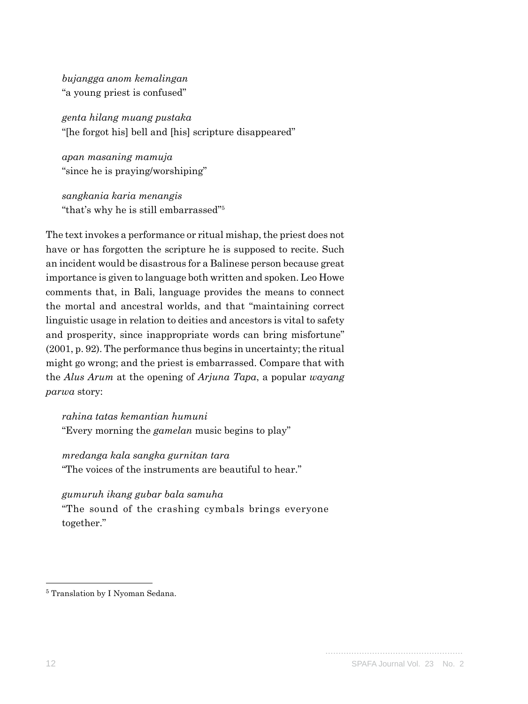*bujangga anom kemalingan* "a young priest is confused"

*genta hilang muang pustaka* "[he forgot his] bell and [his] scripture disappeared"

*apan masaning mamuja* "since he is praying/worshiping"

*sangkania karia menangis* "that's why he is still embarrassed"5

The text invokes a performance or ritual mishap, the priest does not have or has forgotten the scripture he is supposed to recite. Such an incident would be disastrous for a Balinese person because great importance is given to language both written and spoken. Leo Howe comments that, in Bali, language provides the means to connect the mortal and ancestral worlds, and that "maintaining correct linguistic usage in relation to deities and ancestors is vital to safety and prosperity, since inappropriate words can bring misfortune" (2001, p. 92). The performance thus begins in uncertainty; the ritual might go wrong; and the priest is embarrassed. Compare that with the *Alus Arum* at the opening of *Arjuna Tapa*, a popular *wayang parwa* story:

*rahina tatas kemantian humuni* "Every morning the *gamelan* music begins to play"

*mredanga kala sangka gurnitan tara* "The voices of the instruments are beautiful to hear."

*gumuruh ikang gubar bala samuha* "The sound of the crashing cymbals brings everyone together."

<sup>5</sup> Translation by I Nyoman Sedana.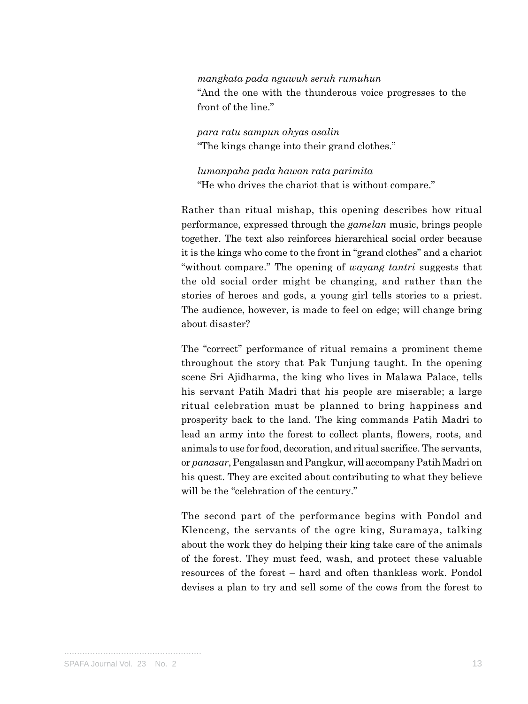*mangkata pada nguwuh seruh rumuhun* "And the one with the thunderous voice progresses to the front of the line."

*para ratu sampun ahyas asalin* "The kings change into their grand clothes."

*lumanpaha pada hawan rata parimita* "He who drives the chariot that is without compare."

Rather than ritual mishap, this opening describes how ritual performance, expressed through the *gamelan* music, brings people together. The text also reinforces hierarchical social order because it is the kings who come to the front in "grand clothes" and a chariot "without compare." The opening of *wayang tantri* suggests that the old social order might be changing, and rather than the stories of heroes and gods, a young girl tells stories to a priest. The audience, however, is made to feel on edge; will change bring about disaster?

The "correct" performance of ritual remains a prominent theme throughout the story that Pak Tunjung taught. In the opening scene Sri Ajidharma, the king who lives in Malawa Palace, tells his servant Patih Madri that his people are miserable; a large ritual celebration must be planned to bring happiness and prosperity back to the land. The king commands Patih Madri to lead an army into the forest to collect plants, flowers, roots, and animals to use for food, decoration, and ritual sacrifice. The servants, or *panasar*, Pengalasan and Pangkur, will accompany Patih Madri on his quest. They are excited about contributing to what they believe will be the "celebration of the century."

The second part of the performance begins with Pondol and Klenceng, the servants of the ogre king, Suramaya, talking about the work they do helping their king take care of the animals of the forest. They must feed, wash, and protect these valuable resources of the forest – hard and often thankless work. Pondol devises a plan to try and sell some of the cows from the forest to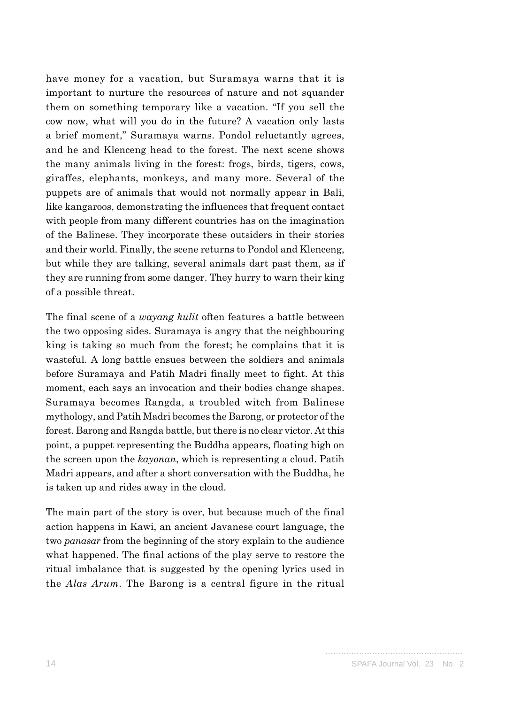have money for a vacation, but Suramaya warns that it is important to nurture the resources of nature and not squander them on something temporary like a vacation. "If you sell the cow now, what will you do in the future? A vacation only lasts a brief moment," Suramaya warns. Pondol reluctantly agrees, and he and Klenceng head to the forest. The next scene shows the many animals living in the forest: frogs, birds, tigers, cows, giraffes, elephants, monkeys, and many more. Several of the puppets are of animals that would not normally appear in Bali, like kangaroos, demonstrating the influences that frequent contact with people from many different countries has on the imagination of the Balinese. They incorporate these outsiders in their stories and their world. Finally, the scene returns to Pondol and Klenceng, but while they are talking, several animals dart past them, as if they are running from some danger. They hurry to warn their king of a possible threat.

The final scene of a *wayang kulit* often features a battle between the two opposing sides. Suramaya is angry that the neighbouring king is taking so much from the forest; he complains that it is wasteful. A long battle ensues between the soldiers and animals before Suramaya and Patih Madri finally meet to fight. At this moment, each says an invocation and their bodies change shapes. Suramaya becomes Rangda, a troubled witch from Balinese mythology, and Patih Madri becomes the Barong, or protector of the forest. Barong and Rangda battle, but there is no clear victor. At this point, a puppet representing the Buddha appears, floating high on the screen upon the *kayonan*, which is representing a cloud. Patih Madri appears, and after a short conversation with the Buddha, he is taken up and rides away in the cloud.

The main part of the story is over, but because much of the final action happens in Kawi, an ancient Javanese court language, the two *panasar* from the beginning of the story explain to the audience what happened. The final actions of the play serve to restore the ritual imbalance that is suggested by the opening lyrics used in the *Alas Arum*. The Barong is a central figure in the ritual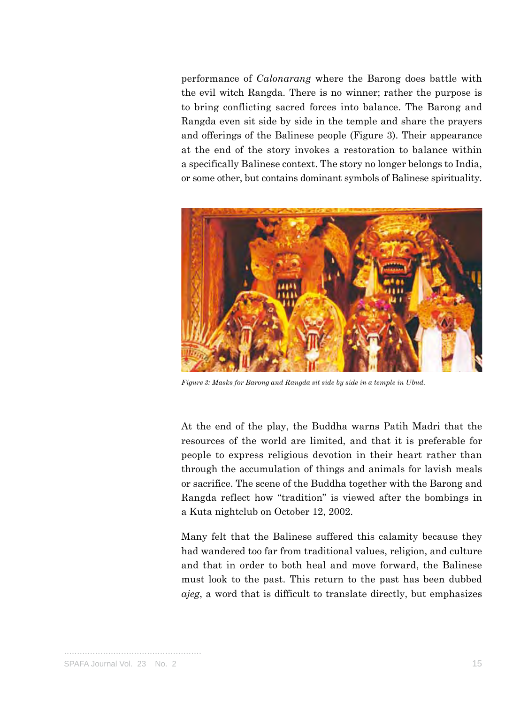performance of *Calonarang* where the Barong does battle with the evil witch Rangda. There is no winner; rather the purpose is to bring conflicting sacred forces into balance. The Barong and Rangda even sit side by side in the temple and share the prayers and offerings of the Balinese people (Figure 3). Their appearance at the end of the story invokes a restoration to balance within a specifically Balinese context. The story no longer belongs to India, or some other, but contains dominant symbols of Balinese spirituality.



*Figure 3: Masks for Barong and Rangda sit side by side in a temple in Ubud.* 

At the end of the play, the Buddha warns Patih Madri that the resources of the world are limited, and that it is preferable for people to express religious devotion in their heart rather than through the accumulation of things and animals for lavish meals or sacrifice. The scene of the Buddha together with the Barong and Rangda reflect how "tradition" is viewed after the bombings in a Kuta nightclub on October 12, 2002.

Many felt that the Balinese suffered this calamity because they had wandered too far from traditional values, religion, and culture and that in order to both heal and move forward, the Balinese must look to the past. This return to the past has been dubbed *ajeg*, a word that is difficult to translate directly, but emphasizes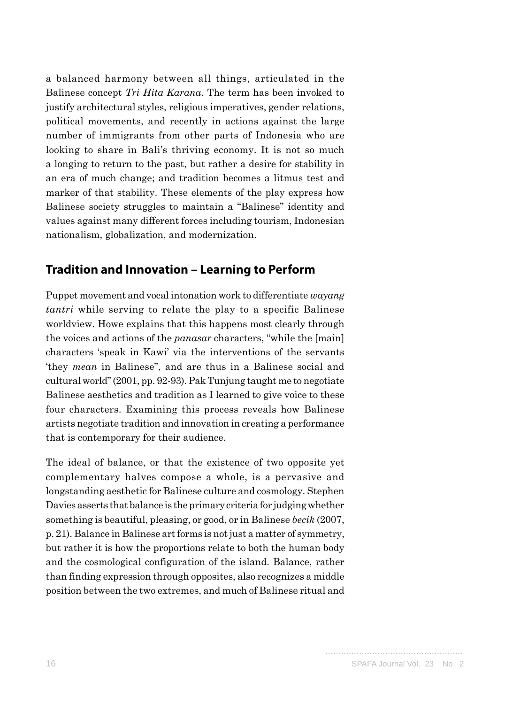a balanced harmony between all things, articulated in the Balinese concept *Tri Hita Karana*. The term has been invoked to justify architectural styles, religious imperatives, gender relations, political movements, and recently in actions against the large number of immigrants from other parts of Indonesia who are looking to share in Bali's thriving economy. It is not so much a longing to return to the past, but rather a desire for stability in an era of much change; and tradition becomes a litmus test and marker of that stability. These elements of the play express how Balinese society struggles to maintain a "Balinese" identity and values against many different forces including tourism, Indonesian nationalism, globalization, and modernization.

## **Tradition and Innovation – Learning to Perform**

Puppet movement and vocal intonation work to differentiate *wayang tantri* while serving to relate the play to a specific Balinese worldview. Howe explains that this happens most clearly through the voices and actions of the *panasar* characters, "while the [main] characters 'speak in Kawi' via the interventions of the servants 'they *mean* in Balinese", and are thus in a Balinese social and cultural world" (2001, pp. 92-93). Pak Tunjung taught me to negotiate Balinese aesthetics and tradition as I learned to give voice to these four characters. Examining this process reveals how Balinese artists negotiate tradition and innovation in creating a performance that is contemporary for their audience.

The ideal of balance, or that the existence of two opposite yet complementary halves compose a whole, is a pervasive and longstanding aesthetic for Balinese culture and cosmology. Stephen Davies asserts that balance is the primary criteria for judging whether something is beautiful, pleasing, or good, or in Balinese *becik* (2007, p. 21). Balance in Balinese art forms is not just a matter of symmetry, but rather it is how the proportions relate to both the human body and the cosmological configuration of the island. Balance, rather than finding expression through opposites, also recognizes a middle position between the two extremes, and much of Balinese ritual and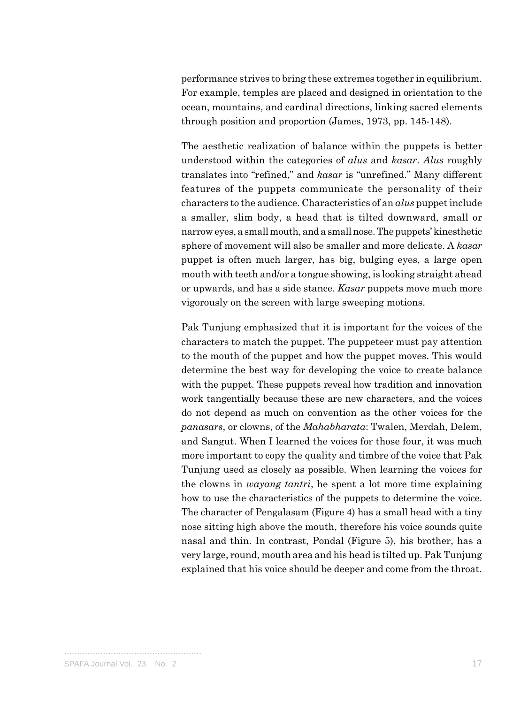performance strives to bring these extremes together in equilibrium. For example, temples are placed and designed in orientation to the ocean, mountains, and cardinal directions, linking sacred elements through position and proportion (James, 1973, pp. 145-148).

The aesthetic realization of balance within the puppets is better understood within the categories of *alus* and *kasar*. *Alus* roughly translates into "refined," and *kasar* is "unrefined." Many different features of the puppets communicate the personality of their characters to the audience. Characteristics of an *alus* puppet include a smaller, slim body, a head that is tilted downward, small or narrow eyes, a small mouth, and a small nose. The puppets' kinesthetic sphere of movement will also be smaller and more delicate. A *kasar*  puppet is often much larger, has big, bulging eyes, a large open mouth with teeth and/or a tongue showing, is looking straight ahead or upwards, and has a side stance. *Kasar* puppets move much more vigorously on the screen with large sweeping motions.

Pak Tunjung emphasized that it is important for the voices of the characters to match the puppet. The puppeteer must pay attention to the mouth of the puppet and how the puppet moves. This would determine the best way for developing the voice to create balance with the puppet. These puppets reveal how tradition and innovation work tangentially because these are new characters, and the voices do not depend as much on convention as the other voices for the *panasars*, or clowns, of the *Mahabharata*: Twalen, Merdah, Delem, and Sangut. When I learned the voices for those four, it was much more important to copy the quality and timbre of the voice that Pak Tunjung used as closely as possible. When learning the voices for the clowns in *wayang tantri*, he spent a lot more time explaining how to use the characteristics of the puppets to determine the voice. The character of Pengalasam (Figure 4) has a small head with a tiny nose sitting high above the mouth, therefore his voice sounds quite nasal and thin. In contrast, Pondal (Figure 5), his brother, has a very large, round, mouth area and his head is tilted up. Pak Tunjung explained that his voice should be deeper and come from the throat.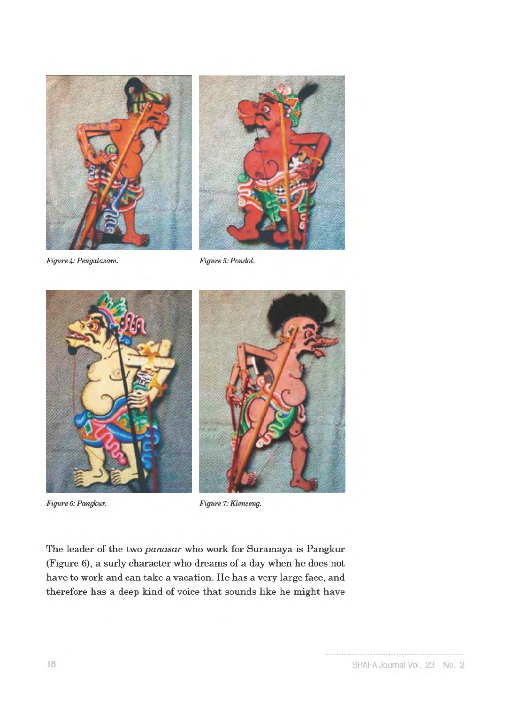



Figure 4: Pengalasam.

Figure 5: Pondol.



Figure 6: Pangkur.



Figure 7: Klenceng.

The leader of the two panasar who work for Suramaya is Pangkur (Figure 6), a surly character who dreams of a day when he does not have to work and can take a vacation. He has a very large face, and therefore has a deep kind of voice that sounds like he might have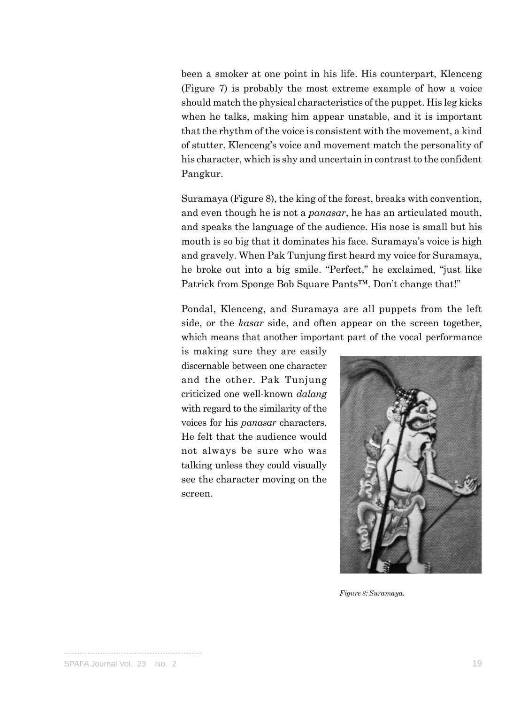been a smoker at one point in his life. His counterpart, Klenceng (Figure 7) is probably the most extreme example of how a voice should match the physical characteristics of the puppet. His leg kicks when he talks, making him appear unstable, and it is important that the rhythm of the voice is consistent with the movement, a kind of stutter. Klenceng's voice and movement match the personality of his character, which is shy and uncertain in contrast to the confident Pangkur.

Suramaya (Figure 8), the king of the forest, breaks with convention, and even though he is not a *panasar*, he has an articulated mouth, and speaks the language of the audience. His nose is small but his mouth is so big that it dominates his face. Suramaya's voice is high and gravely. When Pak Tunjung first heard my voice for Suramaya, he broke out into a big smile. "Perfect," he exclaimed, "just like Patrick from Sponge Bob Square Pants™. Don't change that!"

Pondal, Klenceng, and Suramaya are all puppets from the left side, or the *kasar* side, and often appear on the screen together, which means that another important part of the vocal performance

is making sure they are easily discernable between one character and the other. Pak Tunjung criticized one well-known *dalang* with regard to the similarity of the voices for his *panasar* characters. He felt that the audience would not always be sure who was talking unless they could visually see the character moving on the screen.



*Figure 8: Suramaya.*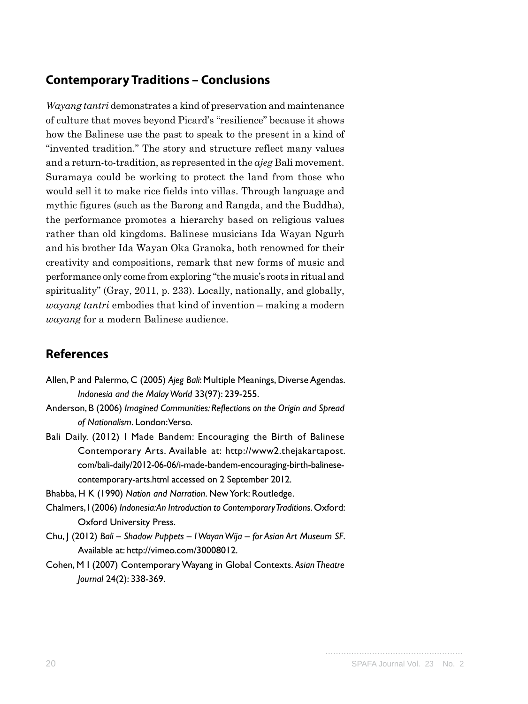### **Contemporary Traditions – Conclusions**

*Wayang tantri* demonstrates a kind of preservation and maintenance of culture that moves beyond Picard's "resilience" because it shows how the Balinese use the past to speak to the present in a kind of "invented tradition." The story and structure reflect many values and a return-to-tradition, as represented in the *ajeg* Bali movement. Suramaya could be working to protect the land from those who would sell it to make rice fields into villas. Through language and mythic figures (such as the Barong and Rangda, and the Buddha), the performance promotes a hierarchy based on religious values rather than old kingdoms. Balinese musicians Ida Wayan Ngurh and his brother Ida Wayan Oka Granoka, both renowned for their creativity and compositions, remark that new forms of music and performance only come from exploring "the music's roots in ritual and spirituality" (Gray, 2011, p. 233). Locally, nationally, and globally, *wayang tantri* embodies that kind of invention – making a modern *wayang* for a modern Balinese audience.

## **References**

- Allen, P and Palermo, C (2005) *Ajeg Bali*: Multiple Meanings, Diverse Agendas. *Indonesia and the Malay World* 33(97): 239-255.
- Anderson, B (2006) *Imagined Communities: Reflections on the Origin and Spread of Nationalism*. London: Verso.
- Bali Daily. (2012) I Made Bandem: Encouraging the Birth of Balinese Contemporary Arts. Available at: http://www2.thejakartapost. com/bali-daily/2012-06-06/i-made-bandem-encouraging-birth-balinesecontemporary-arts.html accessed on 2 September 2012.
- Bhabba, H K (1990) *Nation and Narration*. New York: Routledge.
- Chalmers, I (2006) *Indonesia: An Introduction to Contemporary Traditions*. Oxford: Oxford University Press.
- Chu, J (2012) *Bali Shadow Puppets I Wayan Wija for Asian Art Museum SF*. Available at: http://vimeo.com/30008012.
- Cohen, M I (2007) Contemporary Wayang in Global Contexts. *Asian Theatre Journal* 24(2): 338-369.